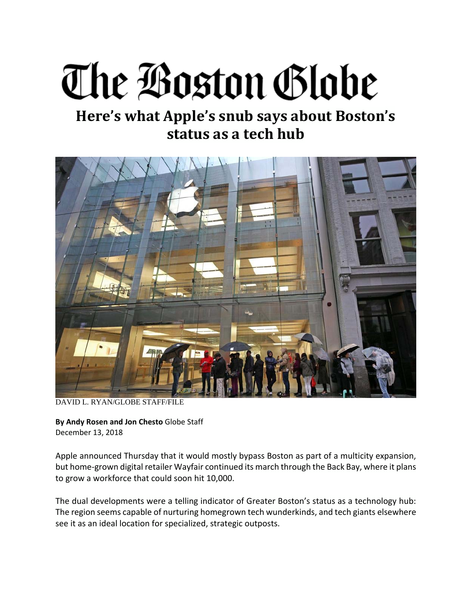## The Boston Globe

## **Here's what Apple's snub says about Boston's status as a tech hub**



DAVID L. RYAN/GLOBE STAFF/FILE

**By Andy Rosen and Jon Chesto** Globe Staff December 13, 2018

Apple announced Thursday that it would mostly bypass Boston as part of a multicity expansion, but home‐grown digital retailer Wayfair continued its march through the Back Bay, where it plans to grow a workforce that could soon hit 10,000.

The dual developments were a telling indicator of Greater Boston's status as a technology hub: The region seems capable of nurturing homegrown tech wunderkinds, and tech giants elsewhere see it as an ideal location for specialized, strategic outposts.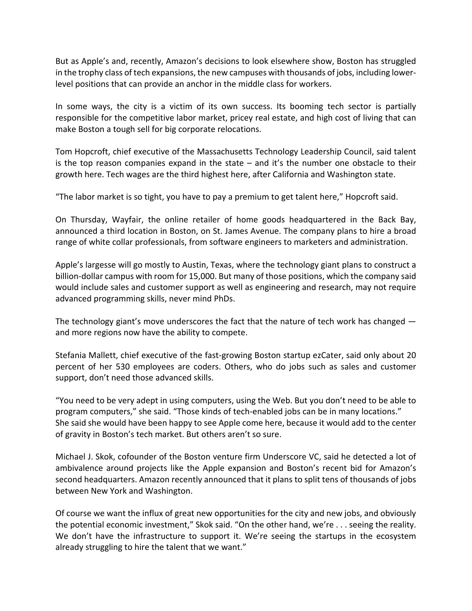But as Apple's and, recently, Amazon's decisions to look elsewhere show, Boston has struggled in the trophy class of tech expansions, the new campuses with thousands of jobs, including lower‐ level positions that can provide an anchor in the middle class for workers.

In some ways, the city is a victim of its own success. Its booming tech sector is partially responsible for the competitive labor market, pricey real estate, and high cost of living that can make Boston a tough sell for big corporate relocations.

Tom Hopcroft, chief executive of the Massachusetts Technology Leadership Council, said talent is the top reason companies expand in the state  $-$  and it's the number one obstacle to their growth here. Tech wages are the third highest here, after California and Washington state.

"The labor market is so tight, you have to pay a premium to get talent here," Hopcroft said.

On Thursday, Wayfair, the online retailer of home goods headquartered in the Back Bay, announced a third location in Boston, on St. James Avenue. The company plans to hire a broad range of white collar professionals, from software engineers to marketers and administration.

Apple's largesse will go mostly to Austin, Texas, where the technology giant plans to construct a billion‐dollar campus with room for 15,000. But many of those positions, which the company said would include sales and customer support as well as engineering and research, may not require advanced programming skills, never mind PhDs.

The technology giant's move underscores the fact that the nature of tech work has changed and more regions now have the ability to compete.

Stefania Mallett, chief executive of the fast‐growing Boston startup ezCater, said only about 20 percent of her 530 employees are coders. Others, who do jobs such as sales and customer support, don't need those advanced skills.

"You need to be very adept in using computers, using the Web. But you don't need to be able to program computers," she said. "Those kinds of tech‐enabled jobs can be in many locations." She said she would have been happy to see Apple come here, because it would add to the center of gravity in Boston's tech market. But others aren't so sure.

Michael J. Skok, cofounder of the Boston venture firm Underscore VC, said he detected a lot of ambivalence around projects like the Apple expansion and Boston's recent bid for Amazon's second headquarters. Amazon recently announced that it plans to split tens of thousands of jobs between New York and Washington.

Of course we want the influx of great new opportunities for the city and new jobs, and obviously the potential economic investment," Skok said. "On the other hand, we're . . . seeing the reality. We don't have the infrastructure to support it. We're seeing the startups in the ecosystem already struggling to hire the talent that we want."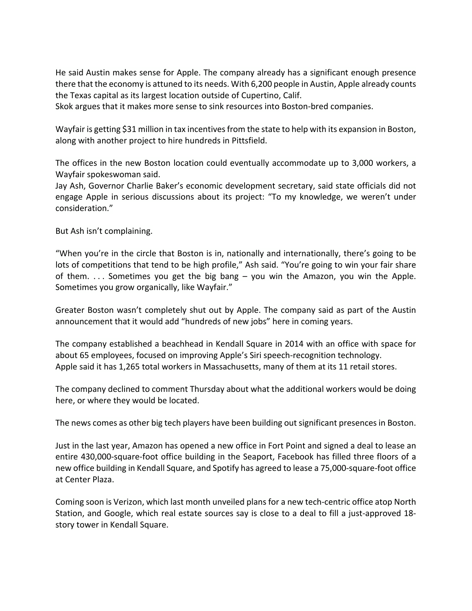He said Austin makes sense for Apple. The company already has a significant enough presence there that the economy is attuned to its needs. With 6,200 people in Austin, Apple already counts the Texas capital as its largest location outside of Cupertino, Calif.

Skok argues that it makes more sense to sink resources into Boston‐bred companies.

Wayfair is getting \$31 million in tax incentives from the state to help with its expansion in Boston, along with another project to hire hundreds in Pittsfield.

The offices in the new Boston location could eventually accommodate up to 3,000 workers, a Wayfair spokeswoman said.

Jay Ash, Governor Charlie Baker's economic development secretary, said state officials did not engage Apple in serious discussions about its project: "To my knowledge, we weren't under consideration."

But Ash isn't complaining.

"When you're in the circle that Boston is in, nationally and internationally, there's going to be lots of competitions that tend to be high profile," Ash said. "You're going to win your fair share of them.  $\ldots$  Sometimes you get the big bang – you win the Amazon, you win the Apple. Sometimes you grow organically, like Wayfair."

Greater Boston wasn't completely shut out by Apple. The company said as part of the Austin announcement that it would add "hundreds of new jobs" here in coming years.

The company established a beachhead in Kendall Square in 2014 with an office with space for about 65 employees, focused on improving Apple's Siri speech‐recognition technology. Apple said it has 1,265 total workers in Massachusetts, many of them at its 11 retail stores.

The company declined to comment Thursday about what the additional workers would be doing here, or where they would be located.

The news comes as other big tech players have been building out significant presencesin Boston.

Just in the last year, Amazon has opened a new office in Fort Point and signed a deal to lease an entire 430,000‐square‐foot office building in the Seaport, Facebook has filled three floors of a new office building in Kendall Square, and Spotify has agreed to lease a 75,000‐square‐foot office at Center Plaza.

Coming soon is Verizon, which last month unveiled plans for a new tech‐centric office atop North Station, and Google, which real estate sources say is close to a deal to fill a just-approved 18story tower in Kendall Square.